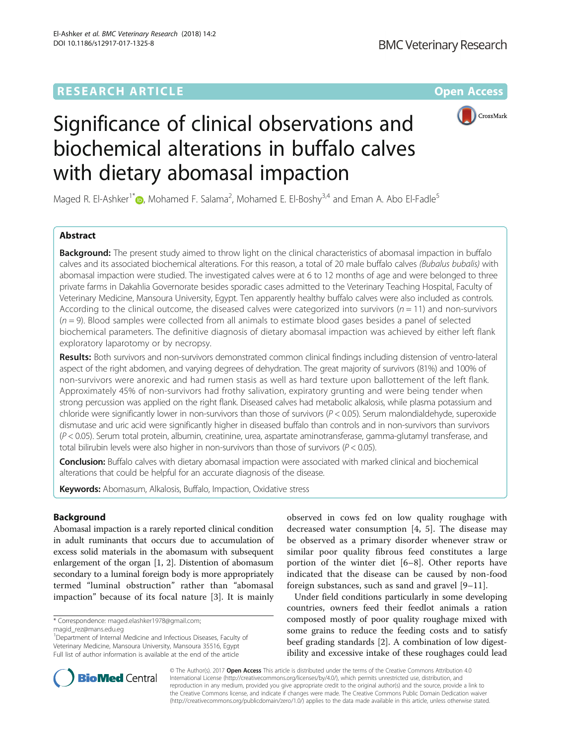## **RESEARCH ARTICLE External Structure Community Community Community Community Community Community Community Community**



# Significance of clinical observations and biochemical alterations in buffalo calves with dietary abomasal impaction

Maged R. El-Ashker<sup>1\*</sup>®[,](http://orcid.org/0000-0002-3217-9864) Mohamed F. Salama<sup>2</sup>, Mohamed E. El-Boshy<sup>3,4</sup> and Eman A. Abo El-Fadle<sup>5</sup>

## Abstract

**Background:** The present study aimed to throw light on the clinical characteristics of abomasal impaction in buffalo calves and its associated biochemical alterations. For this reason, a total of 20 male buffalo calves (Bubalus bubalis) with abomasal impaction were studied. The investigated calves were at 6 to 12 months of age and were belonged to three private farms in Dakahlia Governorate besides sporadic cases admitted to the Veterinary Teaching Hospital, Faculty of Veterinary Medicine, Mansoura University, Egypt. Ten apparently healthy buffalo calves were also included as controls. According to the clinical outcome, the diseased calves were categorized into survivors ( $n = 11$ ) and non-survivors  $(n=9)$ . Blood samples were collected from all animals to estimate blood gases besides a panel of selected biochemical parameters. The definitive diagnosis of dietary abomasal impaction was achieved by either left flank exploratory laparotomy or by necropsy.

Results: Both survivors and non-survivors demonstrated common clinical findings including distension of ventro-lateral aspect of the right abdomen, and varying degrees of dehydration. The great majority of survivors (81%) and 100% of non-survivors were anorexic and had rumen stasis as well as hard texture upon ballottement of the left flank. Approximately 45% of non-survivors had frothy salivation, expiratory grunting and were being tender when strong percussion was applied on the right flank. Diseased calves had metabolic alkalosis, while plasma potassium and chloride were significantly lower in non-survivors than those of survivors ( $P < 0.05$ ). Serum malondialdehyde, superoxide dismutase and uric acid were significantly higher in diseased buffalo than controls and in non-survivors than survivors  $(P < 0.05)$ . Serum total protein, albumin, creatinine, urea, aspartate aminotransferase, gamma-glutamyl transferase, and total bilirubin levels were also higher in non-survivors than those of survivors ( $P < 0.05$ ).

Conclusion: Buffalo calves with dietary abomasal impaction were associated with marked clinical and biochemical alterations that could be helpful for an accurate diagnosis of the disease.

Keywords: Abomasum, Alkalosis, Buffalo, Impaction, Oxidative stress

## Background

Abomasal impaction is a rarely reported clinical condition in adult ruminants that occurs due to accumulation of excess solid materials in the abomasum with subsequent enlargement of the organ [\[1](#page-5-0), [2\]](#page-5-0). Distention of abomasum secondary to a luminal foreign body is more appropriately termed "luminal obstruction" rather than "abomasal impaction" because of its focal nature [[3\]](#page-5-0). It is mainly

\* Correspondence: [maged.elashker1978@gmail.com](mailto:maged.elashker1978@gmail.com);

[magid\\_rez@mans.edu.eg](mailto:magid_rez@mans.edu.eg)

observed in cows fed on low quality roughage with decreased water consumption [[4, 5\]](#page-5-0). The disease may be observed as a primary disorder whenever straw or similar poor quality fibrous feed constitutes a large portion of the winter diet [\[6](#page-5-0)–[8](#page-5-0)]. Other reports have indicated that the disease can be caused by non-food foreign substances, such as sand and gravel [[9](#page-5-0)–[11\]](#page-5-0).

Under field conditions particularly in some developing countries, owners feed their feedlot animals a ration composed mostly of poor quality roughage mixed with some grains to reduce the feeding costs and to satisfy beef grading standards [\[2](#page-5-0)]. A combination of low digestibility and excessive intake of these roughages could lead



© The Author(s). 2017 Open Access This article is distributed under the terms of the Creative Commons Attribution 4.0 International License [\(http://creativecommons.org/licenses/by/4.0/](http://creativecommons.org/licenses/by/4.0/)), which permits unrestricted use, distribution, and reproduction in any medium, provided you give appropriate credit to the original author(s) and the source, provide a link to the Creative Commons license, and indicate if changes were made. The Creative Commons Public Domain Dedication waiver [\(http://creativecommons.org/publicdomain/zero/1.0/](http://creativecommons.org/publicdomain/zero/1.0/)) applies to the data made available in this article, unless otherwise stated.

<sup>&</sup>lt;sup>1</sup>Department of Internal Medicine and Infectious Diseases, Faculty of Veterinary Medicine, Mansoura University, Mansoura 35516, Egypt Full list of author information is available at the end of the article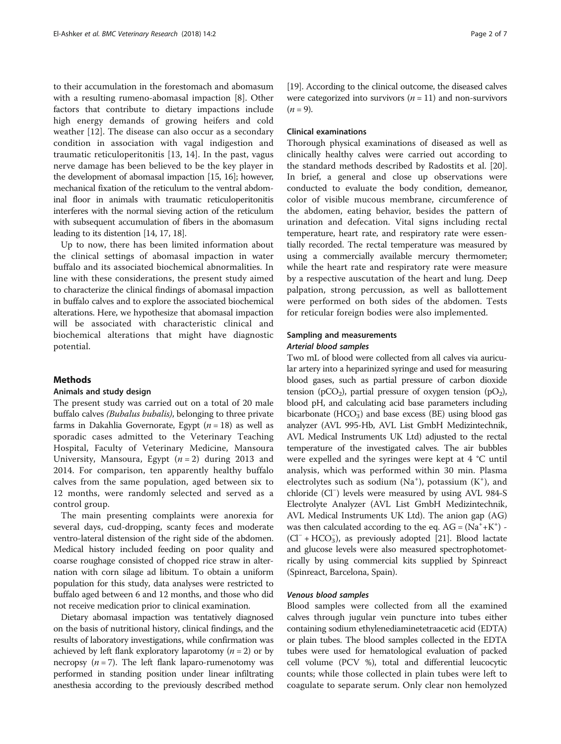to their accumulation in the forestomach and abomasum with a resulting rumeno-abomasal impaction [\[8](#page-5-0)]. Other factors that contribute to dietary impactions include high energy demands of growing heifers and cold weather [[12\]](#page-5-0). The disease can also occur as a secondary condition in association with vagal indigestion and traumatic reticuloperitonitis [\[13](#page-5-0), [14\]](#page-5-0). In the past, vagus nerve damage has been believed to be the key player in the development of abomasal impaction [\[15, 16\]](#page-5-0); however, mechanical fixation of the reticulum to the ventral abdominal floor in animals with traumatic reticuloperitonitis interferes with the normal sieving action of the reticulum with subsequent accumulation of fibers in the abomasum leading to its distention [\[14, 17, 18](#page-5-0)].

Up to now, there has been limited information about the clinical settings of abomasal impaction in water buffalo and its associated biochemical abnormalities. In line with these considerations, the present study aimed to characterize the clinical findings of abomasal impaction in buffalo calves and to explore the associated biochemical alterations. Here, we hypothesize that abomasal impaction will be associated with characteristic clinical and biochemical alterations that might have diagnostic potential.

#### Methods

#### Animals and study design

The present study was carried out on a total of 20 male buffalo calves (Bubalus bubalis), belonging to three private farms in Dakahlia Governorate, Egypt  $(n = 18)$  as well as sporadic cases admitted to the Veterinary Teaching Hospital, Faculty of Veterinary Medicine, Mansoura University, Mansoura, Egypt  $(n = 2)$  during 2013 and 2014. For comparison, ten apparently healthy buffalo calves from the same population, aged between six to 12 months, were randomly selected and served as a control group.

The main presenting complaints were anorexia for several days, cud-dropping, scanty feces and moderate ventro-lateral distension of the right side of the abdomen. Medical history included feeding on poor quality and coarse roughage consisted of chopped rice straw in alternation with corn silage ad libitum. To obtain a uniform population for this study, data analyses were restricted to buffalo aged between 6 and 12 months, and those who did not receive medication prior to clinical examination.

Dietary abomasal impaction was tentatively diagnosed on the basis of nutritional history, clinical findings, and the results of laboratory investigations, while confirmation was achieved by left flank exploratory laparotomy  $(n = 2)$  or by necropsy  $(n = 7)$ . The left flank laparo-rumenotomy was performed in standing position under linear infiltrating anesthesia according to the previously described method [[19](#page-5-0)]. According to the clinical outcome, the diseased calves were categorized into survivors  $(n = 11)$  and non-survivors  $(n = 9)$ .

## Clinical examinations

Thorough physical examinations of diseased as well as clinically healthy calves were carried out according to the standard methods described by Radostits et al. [\[20](#page-6-0)]. In brief, a general and close up observations were conducted to evaluate the body condition, demeanor, color of visible mucous membrane, circumference of the abdomen, eating behavior, besides the pattern of urination and defecation. Vital signs including rectal temperature, heart rate, and respiratory rate were essentially recorded. The rectal temperature was measured by using a commercially available mercury thermometer; while the heart rate and respiratory rate were measure by a respective auscutation of the heart and lung. Deep palpation, strong percussion, as well as ballottement were performed on both sides of the abdomen. Tests for reticular foreign bodies were also implemented.

## Sampling and measurements Arterial blood samples

Two mL of blood were collected from all calves via auricular artery into a heparinized syringe and used for measuring blood gases, such as partial pressure of carbon dioxide tension (pCO<sub>2</sub>), partial pressure of oxygen tension (pO<sub>2</sub>), blood pH, and calculating acid base parameters including bicarbonate (HCO<sub>3</sub>) and base excess (BE) using blood gas analyzer (AVL 995-Hb, AVL List GmbH Medizintechnik, AVL Medical Instruments UK Ltd) adjusted to the rectal temperature of the investigated calves. The air bubbles were expelled and the syringes were kept at 4 °C until analysis, which was performed within 30 min. Plasma electrolytes such as sodium ( $Na^+$ ), potassium ( $K^+$ ), and chloride (Cl<sup>−</sup> ) levels were measured by using AVL 984-S Electrolyte Analyzer (AVL List GmbH Medizintechnik, AVL Medical Instruments UK Ltd). The anion gap (AG) was then calculated according to the eq.  $AG = (Na^+ + K^+)$  -(Cl<sup>−</sup> + HCO3 − ), as previously adopted [[21](#page-6-0)]. Blood lactate and glucose levels were also measured spectrophotometrically by using commercial kits supplied by Spinreact (Spinreact, Barcelona, Spain).

#### Venous blood samples

Blood samples were collected from all the examined calves through jugular vein puncture into tubes either containing sodium ethylenediaminetetraacetic acid (EDTA) or plain tubes. The blood samples collected in the EDTA tubes were used for hematological evaluation of packed cell volume (PCV %), total and differential leucocytic counts; while those collected in plain tubes were left to coagulate to separate serum. Only clear non hemolyzed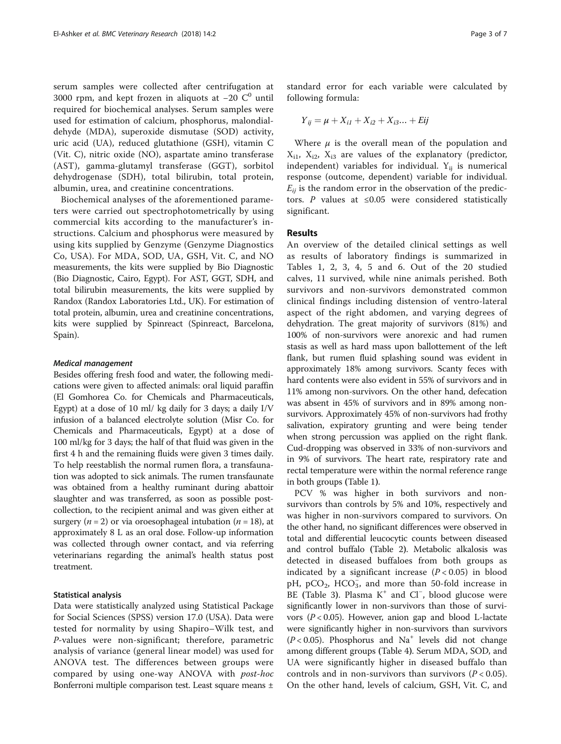serum samples were collected after centrifugation at 3000 rpm, and kept frozen in aliquots at  $-20$  C<sup>0</sup> until required for biochemical analyses. Serum samples were used for estimation of calcium, phosphorus, malondialdehyde (MDA), superoxide dismutase (SOD) activity, uric acid (UA), reduced glutathione (GSH), vitamin C (Vit. C), nitric oxide (NO), aspartate amino transferase (AST), gamma-glutamyl transferase (GGT), sorbitol dehydrogenase (SDH), total bilirubin, total protein, albumin, urea, and creatinine concentrations.

Biochemical analyses of the aforementioned parameters were carried out spectrophotometrically by using commercial kits according to the manufacturer's instructions. Calcium and phosphorus were measured by using kits supplied by Genzyme (Genzyme Diagnostics Co, USA). For MDA, SOD, UA, GSH, Vit. C, and NO measurements, the kits were supplied by Bio Diagnostic (Bio Diagnostic, Cairo, Egypt). For AST, GGT, SDH, and total bilirubin measurements, the kits were supplied by Randox (Randox Laboratories Ltd., UK). For estimation of total protein, albumin, urea and creatinine concentrations, kits were supplied by Spinreact (Spinreact, Barcelona, Spain).

#### Medical management

Besides offering fresh food and water, the following medications were given to affected animals: oral liquid paraffin (El Gomhorea Co. for Chemicals and Pharmaceuticals, Egypt) at a dose of 10 ml/ kg daily for 3 days; a daily I/V infusion of a balanced electrolyte solution (Misr Co. for Chemicals and Pharmaceuticals, Egypt) at a dose of 100 ml/kg for 3 days; the half of that fluid was given in the first 4 h and the remaining fluids were given 3 times daily. To help reestablish the normal rumen flora, a transfaunation was adopted to sick animals. The rumen transfaunate was obtained from a healthy ruminant during abattoir slaughter and was transferred, as soon as possible postcollection, to the recipient animal and was given either at surgery ( $n = 2$ ) or via oroesophageal intubation ( $n = 18$ ), at approximately 8 L as an oral dose. Follow-up information was collected through owner contact, and via referring veterinarians regarding the animal's health status post treatment.

#### Statistical analysis

Data were statistically analyzed using Statistical Package for Social Sciences (SPSS) version 17.0 (USA). Data were tested for normality by using Shapiro–Wilk test, and P-values were non-significant; therefore, parametric analysis of variance (general linear model) was used for ANOVA test. The differences between groups were compared by using one-way ANOVA with post-hoc Bonferroni multiple comparison test. Least square means ±

standard error for each variable were calculated by following formula:

$$
Y_{ij} = \mu + X_{i1} + X_{i2} + X_{i3} \dots + Eij
$$

Where  $\mu$  is the overall mean of the population and  $X_{i1}$ ,  $X_{i2}$ ,  $X_{i3}$  are values of the explanatory (predictor, independent) variables for individual.  $Y_{ii}$  is numerical response (outcome, dependent) variable for individual.  $E_{ii}$  is the random error in the observation of the predictors. P values at  $\leq 0.05$  were considered statistically significant.

#### Results

An overview of the detailed clinical settings as well as results of laboratory findings is summarized in Tables [1](#page-3-0), [2, 3,](#page-3-0) [4](#page-4-0), [5](#page-4-0) and [6.](#page-4-0) Out of the 20 studied calves, 11 survived, while nine animals perished. Both survivors and non-survivors demonstrated common clinical findings including distension of ventro-lateral aspect of the right abdomen, and varying degrees of dehydration. The great majority of survivors (81%) and 100% of non-survivors were anorexic and had rumen stasis as well as hard mass upon ballottement of the left flank, but rumen fluid splashing sound was evident in approximately 18% among survivors. Scanty feces with hard contents were also evident in 55% of survivors and in 11% among non-survivors. On the other hand, defecation was absent in 45% of survivors and in 89% among nonsurvivors. Approximately 45% of non-survivors had frothy salivation, expiratory grunting and were being tender when strong percussion was applied on the right flank. Cud-dropping was observed in 33% of non-survivors and in 9% of survivors. The heart rate, respiratory rate and rectal temperature were within the normal reference range in both groups (Table [1](#page-3-0)).

PCV % was higher in both survivors and nonsurvivors than controls by 5% and 10%, respectively and was higher in non-survivors compared to survivors. On the other hand, no significant differences were observed in total and differential leucocytic counts between diseased and control buffalo (Table [2](#page-3-0)). Metabolic alkalosis was detected in diseased buffaloes from both groups as indicated by a significant increase  $(P < 0.05)$  in blood pH, pCO<sub>2</sub>, HCO<sub>3</sub>, and more than 50-fold increase in BE (Table [3](#page-3-0)). Plasma K<sup>+</sup> and Cl<sup>−</sup>, blood glucose were significantly lower in non-survivors than those of survivors ( $P < 0.05$ ). However, anion gap and blood L-lactate were significantly higher in non-survivors than survivors  $(P < 0.05)$ . Phosphorus and Na<sup>+</sup> levels did not change among different groups (Table [4](#page-4-0)). Serum MDA, SOD, and UA were significantly higher in diseased buffalo than controls and in non-survivors than survivors  $(P < 0.05)$ . On the other hand, levels of calcium, GSH, Vit. C, and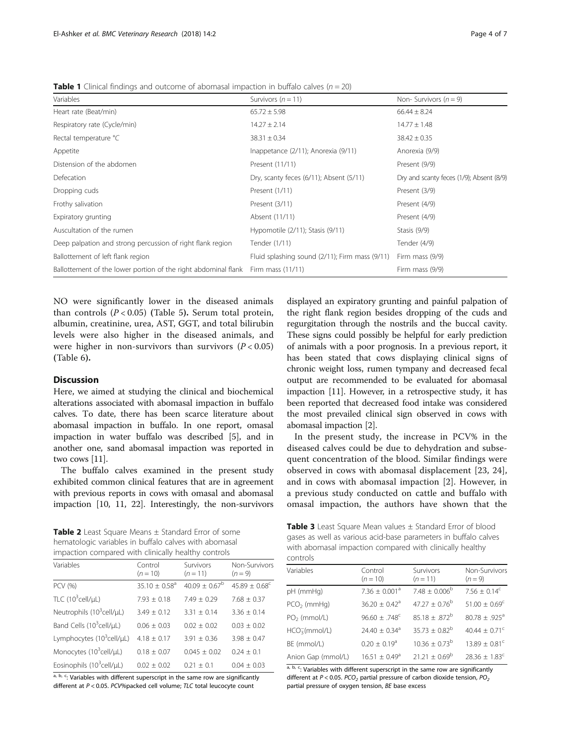| Variables                                                                        | Survivors $(n = 11)$                           | Non- Survivors $(n = 9)$                 |
|----------------------------------------------------------------------------------|------------------------------------------------|------------------------------------------|
| Heart rate (Beat/min)                                                            | $65.72 \pm 5.98$                               | $66.44 \pm 8.24$                         |
| Respiratory rate (Cycle/min)                                                     | $14.27 \pm 2.14$                               | $14.77 \pm 1.48$                         |
| Rectal temperature °C                                                            | $38.31 \pm 0.34$                               | $38.42 \pm 0.35$                         |
| Appetite                                                                         | Inappetance (2/11); Anorexia (9/11)            | Anorexia (9/9)                           |
| Distension of the abdomen                                                        | Present (11/11)                                | Present (9/9)                            |
| Defecation                                                                       | Dry, scanty feces (6/11); Absent (5/11)        | Dry and scanty feces (1/9); Absent (8/9) |
| Dropping cuds                                                                    | Present (1/11)                                 | Present (3/9)                            |
| Frothy salivation                                                                | Present (3/11)                                 | Present (4/9)                            |
| Expiratory grunting                                                              | Absent (11/11)                                 | Present (4/9)                            |
| Auscultation of the rumen                                                        | Hypomotile (2/11); Stasis (9/11)               | Stasis (9/9)                             |
| Deep palpation and strong percussion of right flank region                       | Tender (1/11)                                  | Tender (4/9)                             |
| Ballottement of left flank region                                                | Fluid splashing sound (2/11); Firm mass (9/11) | Firm mass (9/9)                          |
| Ballottement of the lower portion of the right abdominal flank Firm mass (11/11) |                                                | Firm mass (9/9)                          |

<span id="page-3-0"></span>**Table 1** Clinical findings and outcome of abomasal impaction in buffalo calves ( $n = 20$ )

NO were significantly lower in the diseased animals than controls  $(P < 0.05)$  (Table [5](#page-4-0)). Serum total protein, albumin, creatinine, urea, AST, GGT, and total bilirubin levels were also higher in the diseased animals, and were higher in non-survivors than survivors  $(P < 0.05)$ (Table [6](#page-4-0)).

## **Discussion**

Here, we aimed at studying the clinical and biochemical alterations associated with abomasal impaction in buffalo calves. To date, there has been scarce literature about abomasal impaction in buffalo. In one report, omasal impaction in water buffalo was described [\[5\]](#page-5-0), and in another one, sand abomasal impaction was reported in two cows [[11](#page-5-0)].

The buffalo calves examined in the present study exhibited common clinical features that are in agreement with previous reports in cows with omasal and abomasal impaction [\[10, 11](#page-5-0), [22](#page-6-0)]. Interestingly, the non-survivors

**Table 2** Least Square Means  $\pm$  Standard Error of some hematologic variables in buffalo calves with abomasal impaction compared with clinically healthy controls

| Variables                             | Control<br>$(n = 10)$       | Survivors<br>$(n = 11)$  | Non-Survivors<br>$(n = 9)$ |
|---------------------------------------|-----------------------------|--------------------------|----------------------------|
| PCV (%)                               | $35.10 + 0.58$ <sup>a</sup> | $40.09 \pm 0.67^{\rm b}$ | $45.89 \pm 0.68^{\circ}$   |
| TLC $(10^3$ cell/µL)                  | $7.93 \pm 0.18$             | $7.49 + 0.29$            | $7.68 + 0.37$              |
| Neutrophils $(10^3$ cell/ $\mu$ L)    | $3.49 + 0.12$               | $3.31 + 0.14$            | $3.36 + 0.14$              |
| Band Cells (10 <sup>3</sup> cell/µL)  | $0.06 + 0.03$               | $0.02 + 0.02$            | $0.03 + 0.02$              |
| Lymphocytes (10 <sup>3</sup> cell/µL) | $4.18 + 0.17$               | $3.91 \pm 0.36$          | $3.98 + 0.47$              |
| Monocytes (10 <sup>3</sup> cell/µL)   | $0.18 + 0.07$               | $0.045 + 0.02$           | $0.24 + 0.1$               |
| Eosinophils $(10^3$ cell/ $\mu$ L)    | $0.02 + 0.02$               | $0.21 + 0.1$             | $0.04 + 0.03$              |
|                                       |                             |                          |                            |

 $a, b, c$ : Variables with different superscript in the same row are significantly different at P < 0.05. PCV%packed cell volume; TLC total leucocyte count

displayed an expiratory grunting and painful palpation of the right flank region besides dropping of the cuds and regurgitation through the nostrils and the buccal cavity. These signs could possibly be helpful for early prediction of animals with a poor prognosis. In a previous report, it has been stated that cows displaying clinical signs of chronic weight loss, rumen tympany and decreased fecal output are recommended to be evaluated for abomasal impaction [\[11\]](#page-5-0). However, in a retrospective study, it has been reported that decreased food intake was considered the most prevailed clinical sign observed in cows with abomasal impaction [[2](#page-5-0)].

In the present study, the increase in PCV% in the diseased calves could be due to dehydration and subsequent concentration of the blood. Similar findings were observed in cows with abomasal displacement [\[23](#page-6-0), [24](#page-6-0)], and in cows with abomasal impaction [[2\]](#page-5-0). However, in a previous study conducted on cattle and buffalo with omasal impaction, the authors have shown that the

**Table 3** Least Square Mean values  $\pm$  Standard Error of blood gases as well as various acid-base parameters in buffalo calves with abomasal impaction compared with clinically healthy controls

| uu iliud                  |                               |                          |                               |
|---------------------------|-------------------------------|--------------------------|-------------------------------|
| Variables                 | Control<br>$(n = 10)$         | Survivors<br>$(n = 11)$  | Non-Survivors<br>$(n = 9)$    |
| pH (mmHq)                 | 7.36 $\pm$ 0.001 <sup>a</sup> | $7.48 \pm 0.006^{\rm b}$ | $7.56 \pm 0.14^c$             |
| $PCO2$ (mmHg)             | $36.20 \pm 0.42^a$            | $47.27 + 0.76^b$         | $51.00 \pm 0.69^{\circ}$      |
| $PO2$ (mmol/L)            | $96.60 + .748^{c}$            | $85.18 \pm .872^b$       | $80.78 + 925^{\circ}$         |
| HCO <sub>3</sub> (mmol/L) | $24.40 \pm 0.34$ <sup>a</sup> | $35.73 + 0.82^b$         | 40.44 $\pm$ 0.71 <sup>c</sup> |
| BE (mmol/L)               | $0.20 \pm 0.19$ <sup>a</sup>  | $10.36 + 0.73^b$         | $13.89 \pm 0.81^{\circ}$      |
| Anion Gap (mmol/L)        | $16.51 \pm 0.49^a$            | $21.21 \pm 0.69^{\circ}$ | $28.36 + 1.83^c$              |

a, b, c. Variables with different superscript in the same row are significantly different at  $P < 0.05$ . PCO<sub>2</sub> partial pressure of carbon dioxide tension, PO<sub>2</sub> partial pressure of oxygen tension, BE base excess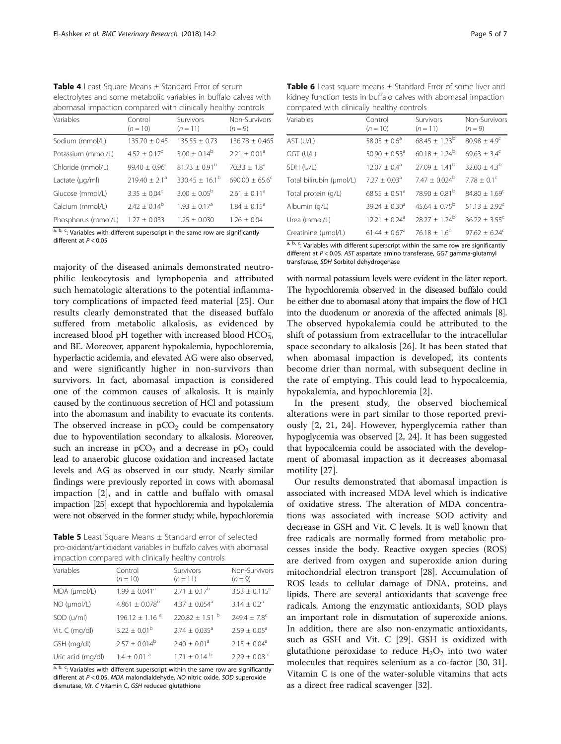<span id="page-4-0"></span>**Table 4** Least Square Means  $\pm$  Standard Error of serum electrolytes and some metabolic variables in buffalo calves with abomasal impaction compared with clinically healthy controls

| Variables            | Control<br>$(n = 10)$  | Survivors<br>$(n = 11)$ | Non-Survivors<br>$(n=9)$ |
|----------------------|------------------------|-------------------------|--------------------------|
| Sodium (mmol/L)      | $135.70 \pm 0.45$      | $135.55 + 0.73$         | $136.78 + 0.465$         |
| Potassium (mmol/L)   | $4.52 + 0.17^{c}$      | $3.00 + 0.14^b$         | $2.21 \pm 0.01^a$        |
| Chloride (mmol/L)    | $99.40 + 0.96^{\circ}$ | $81.73 + 0.91^b$        | $70.33 + 1.8a$           |
| Lactate $(\mu q/ml)$ | $719.40 + 2.1a$        | $330.45 + 16.1^b$       | $690.00 + 65.6^{\circ}$  |
| Glucose (mmol/L)     | $3.35 + 0.04^{\circ}$  | $3.00 + 0.05^{\rm b}$   | $2.61 + 0.11a$           |
| Calcium (mmol/L)     | $2.42 + 0.14^b$        | $1.93 + 0.17a$          | $1.84 + 0.15^a$          |
| Phosphorus (mmol/L)  | $1.27 \pm 0.033$       | $1.25 + 0.030$          | $1.26 + 0.04$            |

a, b, c: Variables with different superscript in the same row are significantly different at P < 0.05

majority of the diseased animals demonstrated neutrophilic leukocytosis and lymphopenia and attributed such hematologic alterations to the potential inflammatory complications of impacted feed material [\[25\]](#page-6-0). Our results clearly demonstrated that the diseased buffalo suffered from metabolic alkalosis, as evidenced by increased blood pH together with increased blood  $\text{HCO}_3^+$ , and BE. Moreover, apparent hypokalemia, hypochloremia, hyperlactic acidemia, and elevated AG were also observed, and were significantly higher in non-survivors than survivors. In fact, abomasal impaction is considered one of the common causes of alkalosis. It is mainly caused by the continuous secretion of HCl and potassium into the abomasum and inability to evacuate its contents. The observed increase in  $pCO<sub>2</sub>$  could be compensatory due to hypoventilation secondary to alkalosis. Moreover, such an increase in  $pCO<sub>2</sub>$  and a decrease in  $pO<sub>2</sub>$  could lead to anaerobic glucose oxidation and increased lactate levels and AG as observed in our study. Nearly similar findings were previously reported in cows with abomasal impaction [[2\]](#page-5-0), and in cattle and buffalo with omasal impaction [[25\]](#page-6-0) except that hypochloremia and hypokalemia were not observed in the former study; while, hypochloremia

**Table 5** Least Square Means  $\pm$  Standard error of selected pro-oxidant/antioxidant variables in buffalo calves with abomasal impaction compared with clinically healthy controls

| Variables         | Control<br>$(n = 10)$          | Survivors<br>$(n = 11)$       | Non-Survivors<br>$(n = 9)$    |
|-------------------|--------------------------------|-------------------------------|-------------------------------|
| MDA (µmol/L)      | $1.99 \pm 0.041$ <sup>a</sup>  | $2.71 \pm 0.17^{\rm b}$       | $3.53 \pm 0.115$ <sup>c</sup> |
| NO (µmol/L)       | $4.861 \pm 0.078$ <sup>b</sup> | $4.37 \pm 0.054$ <sup>a</sup> | $3.14 \pm 0.2$ <sup>a</sup>   |
| SOD (u/ml)        | $196.12 \pm 1.16$ <sup>a</sup> | $220.82 + 1.51$ <sup>b</sup>  | $749.4 + 7.8^{\circ}$         |
| Vit. C (mg/dl)    | $3.22 \pm 0.01^{\rm b}$        | $2.74 \pm 0.035$ <sup>a</sup> | $2.59 \pm 0.05^a$             |
| GSH (mg/dl)       | $2.57 \pm 0.014^b$             | $2.40 \pm 0.01$ <sup>a</sup>  | $2.15 \pm 0.04$ <sup>a</sup>  |
| Uric acid (mg/dl) | $1.4 \pm 0.01$ <sup>a</sup>    | $1.71 \pm 0.14$ <sup>b</sup>  | $2.29 \pm 0.08$ <sup>c</sup>  |

a, b, c: Variables with different superscript within the same row are significantly different at P < 0.05. MDA malondialdehyde, NO nitric oxide, SOD superoxide dismutase, Vit. C Vitamin C, GSH reduced glutathione

**Table 6** Least square means  $\pm$  Standard Error of some liver and kidney function tests in buffalo calves with abomasal impaction compared with clinically healthy controls

| Variables                | Control<br>$(n = 10)$         | Survivors<br>$(n = 11)$ | Non-Survivors<br>$(n = 9)$    |
|--------------------------|-------------------------------|-------------------------|-------------------------------|
| AST (U/L)                | 58.05 $\pm$ 0.6 <sup>a</sup>  | $68.45 \pm 1.23^b$      | $80.98 \pm 4.9^{\circ}$       |
| GGT (U/L)                | $50.90 + 0.53^{\circ}$        | $60.18 + 1.24^b$        | $69.63 + 3.4^{\circ}$         |
| SDH (U/L)                | $12.07 \pm 0.4^{\circ}$       | $27.09 + 1.41^b$        | $32.00 \pm 4.3^{\rm b}$       |
| Total bilirubin (umol/L) | $7.27 + 0.03a$                | $7.47 \pm 0.024^b$      | $7.78 + 0.1^{\circ}$          |
| Total protein (g/L)      | $68.55 + 0.51$ <sup>a</sup>   | $78.90 + 0.81^{b}$      | $84.80 + 1.69^{\circ}$        |
| Albumin (g/L)            | 39.24 $\pm$ 0.30 <sup>a</sup> | $45.64 + 0.75^{\circ}$  | $51.13 \pm 2.92^c$            |
| Urea (mmol/L)            | $12.21 + 0.24$ <sup>a</sup>   | $28.27 + 1.24^b$        | $36.22 \pm 3.55$ <sup>c</sup> |
| Creatinine (µmol/L)      | $61.44 + 0.67$ <sup>a</sup>   | $76.18 \pm 1.6^b$       | $97.62 \pm 6.24^{\circ}$      |
|                          |                               |                         |                               |

a, b, c. Variables with different superscript within the same row are significantly different at P < 0.05. AST aspartate amino transferase, GGT gamma-glutamyl transferase, SDH Sorbitol dehydrogenase

with normal potassium levels were evident in the later report. The hypochloremia observed in the diseased buffalo could be either due to abomasal atony that impairs the flow of HCl into the duodenum or anorexia of the affected animals [\[8\]](#page-5-0). The observed hypokalemia could be attributed to the shift of potassium from extracellular to the intracellular space secondary to alkalosis [\[26](#page-6-0)]. It has been stated that when abomasal impaction is developed, its contents become drier than normal, with subsequent decline in the rate of emptying. This could lead to hypocalcemia, hypokalemia, and hypochloremia [[2\]](#page-5-0).

In the present study, the observed biochemical alterations were in part similar to those reported previously [\[2](#page-5-0), [21, 24\]](#page-6-0). However, hyperglycemia rather than hypoglycemia was observed [\[2,](#page-5-0) [24\]](#page-6-0). It has been suggested that hypocalcemia could be associated with the development of abomasal impaction as it decreases abomasal motility [\[27](#page-6-0)].

Our results demonstrated that abomasal impaction is associated with increased MDA level which is indicative of oxidative stress. The alteration of MDA concentrations was associated with increase SOD activity and decrease in GSH and Vit. C levels. It is well known that free radicals are normally formed from metabolic processes inside the body. Reactive oxygen species (ROS) are derived from oxygen and superoxide anion during mitochondrial electron transport [\[28](#page-6-0)]. Accumulation of ROS leads to cellular damage of DNA, proteins, and lipids. There are several antioxidants that scavenge free radicals. Among the enzymatic antioxidants, SOD plays an important role in dismutation of superoxide anions. In addition, there are also non-enzymatic antioxidants, such as GSH and Vit. C [[29](#page-6-0)]. GSH is oxidized with glutathione peroxidase to reduce  $H_2O_2$  into two water molecules that requires selenium as a co-factor [\[30, 31](#page-6-0)]. Vitamin C is one of the water-soluble vitamins that acts as a direct free radical scavenger [[32\]](#page-6-0).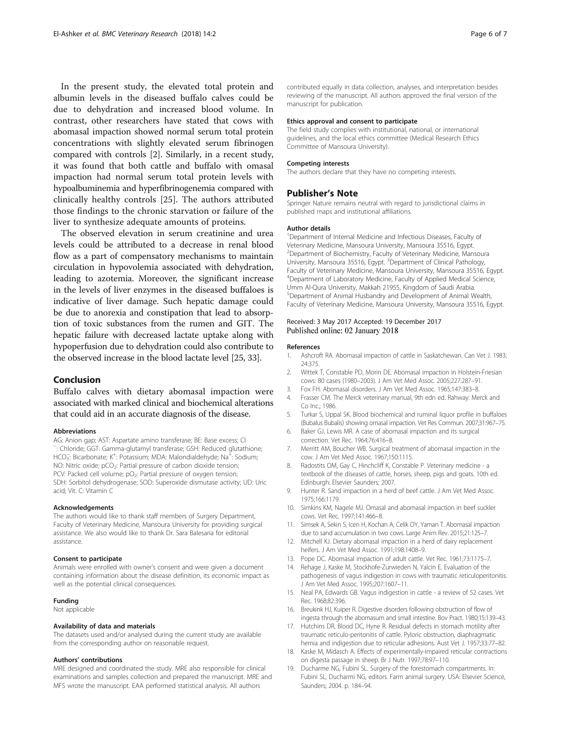<span id="page-5-0"></span>In the present study, the elevated total protein and albumin levels in the diseased buffalo calves could be due to dehydration and increased blood volume. In contrast, other researchers have stated that cows with abomasal impaction showed normal serum total protein concentrations with slightly elevated serum fibrinogen compared with controls [2]. Similarly, in a recent study, it was found that both cattle and buffalo with omasal impaction had normal serum total protein levels with hypoalbuminemia and hyperfibrinogenemia compared with clinically healthy controls [\[25\]](#page-6-0). The authors attributed those findings to the chronic starvation or failure of the liver to synthesize adequate amounts of proteins.

The observed elevation in serum creatinine and urea levels could be attributed to a decrease in renal blood flow as a part of compensatory mechanisms to maintain circulation in hypovolemia associated with dehydration, leading to azotemia. Moreover, the significant increase in the levels of liver enzymes in the diseased buffaloes is indicative of liver damage. Such hepatic damage could be due to anorexia and constipation that lead to absorption of toxic substances from the rumen and GIT. The hepatic failure with decreased lactate uptake along with hypoperfusion due to dehydration could also contribute to the observed increase in the blood lactate level [[25](#page-6-0), [33\]](#page-6-0).

#### Conclusion

Buffalo calves with dietary abomasal impaction were associated with marked clinical and biochemical alterations that could aid in an accurate diagnosis of the disease.

#### Abbreviations

AG: Anion gap; AST: Aspartate amino transferase; BE: Base excess; Cl <sup>−</sup> : Chloride; GGT: Gamma-glutamyl transferase; GSH: Reduced glutathione; HCO<sub>3</sub>: Bicarbonate; K<sup>+</sup>: Potassium; MDA: Malondialdehyde; Na<sup>+</sup>: Sodium; NO: Nitric oxide; pCO<sub>2</sub>: Partial pressure of carbon dioxide tension; PCV: Packed cell volume;  $pO<sub>2</sub>$ : Partial pressure of oxygen tension; SDH: Sorbitol dehydrogenase; SOD: Superoxide dismutase activity; UD: Uric acid; Vit. C: Vitamin C

#### Acknowledgements

The authors would like to thank staff members of Surgery Department, Faculty of Veterinary Medicine, Mansoura University for providing surgical assistance. We also would like to thank Dr. Sara Balesaria for editorial assistance.

#### Consent to participate

Animals were enrolled with owner's consent and were given a document containing information about the disease definition, its economic impact as well as the potential clinical consequences.

#### Funding

Not applicable

#### Availability of data and materials

The datasets used and/or analysed during the current study are available from the corresponding author on reasonable request.

#### Authors' contributions

MRE designed and coordinated the study. MRE also responsible for clinical examinations and samples collection and prepared the manuscript. MRE and MFS wrote the manuscript. EAA performed statistical analysis. All authors

contributed equally in data collection, analyses, and interpretation besides reviewing of the manuscript. All authors approved the final version of the manuscript for publication.

#### Ethics approval and consent to participate

The field study complies with institutional, national, or international guidelines, and the local ethics committee (Medical Research Ethics Committee of Mansoura University).

#### Competing interests

The authors declare that they have no competing interests.

#### Publisher's Note

Springer Nature remains neutral with regard to jurisdictional claims in published maps and institutional affiliations.

#### Author details

<sup>1</sup>Department of Internal Medicine and Infectious Diseases, Faculty of Veterinary Medicine, Mansoura University, Mansoura 35516, Egypt. <sup>2</sup> Department of Biochemistry, Faculty of Veterinary Medicine, Mansoura University, Mansoura 35516, Egypt. <sup>3</sup>Department of Clinical Pathology, Faculty of Veterinary Medicine, Mansoura University, Mansoura 35516, Egypt. 4 Department of Laboratory Medicine, Faculty of Applied Medical Science, Umm Al-Qura University, Makkah 21955, Kingdom of Saudi Arabia. 5 Department of Animal Husbandry and Development of Animal Wealth, Faculty of Veterinary Medicine, Mansoura University, Mansoura 35516, Egypt.

#### Received: 3 May 2017 Accepted: 19 December 2017 Published online: 02 January 2018

#### References

- 1. Ashcroft RA. Abomasal impaction of cattle in Saskatchewan. Can Vet J. 1983; 24:375.
- 2. Wittek T, Constable PD, Morin DE. Abomasal impaction in Holstein-Friesian cows: 80 cases (1980–2003). J Am Vet Med Assoc. 2005;227:287–91.
- 3. Fox FH. Abomasal disorders. J Am Vet Med Assoc. 1965;147:383–8.
- 4. Frasser CM. The Merck veterinary manual, 9th edn ed. Rahway: Merck and Co Inc.; 1986.
- 5. Turkar S, Uppal SK. Blood biochemical and ruminal liquor profile in buffaloes (Bubalus Bubalis) showing omasal impaction. Vet Res Commun. 2007;31:967–75.
- Baker GJ, Lewis MR. A case of abomasal impaction and its surgical correction. Vet Rec. 1964;76:416–8.
- 7. Merritt AM, Boucher WB. Surgical treatment of abomasal impaction in the cow. J Am Vet Med Assoc. 1967;150:1115.
- 8. Radostits OM, Gay C, Hinchcliff K, Constable P. Veterinary medicine a textbook of the diseases of cattle, horses, sheep, pigs and goats. 10th ed. Edinburgh: Elsevier Saunders; 2007.
- 9. Hunter R. Sand impaction in a herd of beef cattle. J Am Vet Med Assoc. 1975;166:1179.
- 10. Simkins KM, Nagele MJ. Omasal and abomasal impaction in beef suckler cows. Vet Rec. 1997;141:466–8.
- 11. Simsek A, Sekin S, Icen H, Kochan A, Celik OY, Yaman T. Abomasal impaction due to sand accumulation in two cows. Large Anim Rev. 2015;21:125–7.
- 12. Mitchell KJ. Dietary abomasal impaction in a herd of dairy replacement heifers. J Am Vet Med Assoc. 1991;198:1408–9.
- 13. Pope DC. Abomasal impaction of adult cattle. Vet Rec. 1961;73:1175–7.
- 14. Rehage J, Kaske M, Stockhofe-Zurwieden N, Yalcin E. Evaluation of the pathogenesis of vagus indigestion in cows with traumatic reticuloperitonitis. J Am Vet Med Assoc. 1995;207:1607–11.
- 15. Neal PA, Edwards GB. Vagus indigestion in cattle a review of 52 cases. Vet Rec. 1968;82:396.
- Breukink HJ, Kuiper R. Digestive disorders following obstruction of flow of ingesta through the abomasum and small intestine. Bov Pract. 1980;15:139–43.
- 17. Hutchins DR, Blood DC, Hyne R. Residual defects in stomach motility after traumatic reticulo-peritonitis of cattle. Pyloric obstruction, diaphragmatic hernia and indigestion due to reticular adhesions. Aust Vet J. 1957;33:77–82.
- 18. Kaske M, Midasch A. Effects of experimentally-impaired reticular contractions on digesta passage in sheep. Br J Nutr. 1997;78:97–110.
- 19. Ducharme NG, Fubini SL. Surgery of the forestomach compartments. In: Fubini SL, Ducharmi NG, editors. Farm animal surgery. USA: Elsevier Science, Saunders; 2004. p. 184–94.